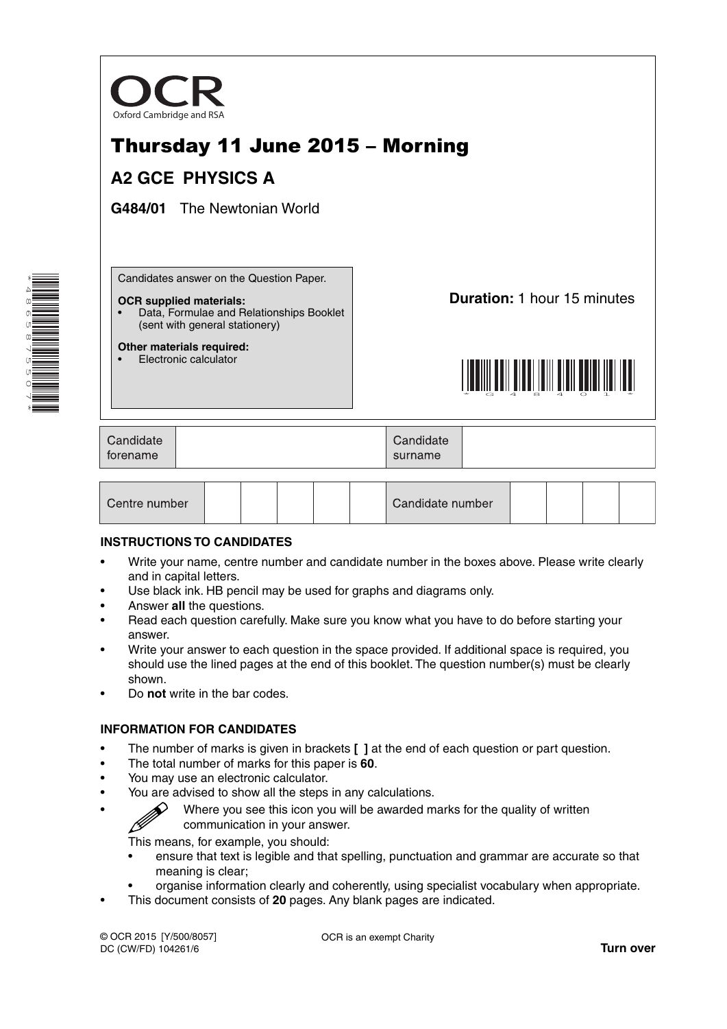

# Thursday 11 June 2015 – Morning

## **A2 GCE PHYSICS A**

**G484/01** The Newtonian World

\*4865875507\* **THE REAL PROPERTY**  Candidates answer on the Question Paper.

#### **OCR supplied materials:**

- Data, Formulae and Relationships Booklet (sent with general stationery)
- **Other materials required:** • Electronic calculator

**Duration:** 1 hour 15 minutes



| Candidate<br>torename | Candidate<br>surname |  |
|-----------------------|----------------------|--|
|                       |                      |  |

| Centre number |  |  |  |  |  | Candidate number |  |  |  |  |  |
|---------------|--|--|--|--|--|------------------|--|--|--|--|--|
|---------------|--|--|--|--|--|------------------|--|--|--|--|--|

### **INSTRUCTIONS TO CANDIDATES**

- Write your name, centre number and candidate number in the boxes above. Please write clearly and in capital letters.
- Use black ink. HB pencil may be used for graphs and diagrams only.
- Answer **all** the questions.
- Read each question carefully. Make sure you know what you have to do before starting your answer.
- Write your answer to each question in the space provided. If additional space is required, you should use the lined pages at the end of this booklet. The question number(s) must be clearly shown.
- Do **not** write in the bar codes.

### **INFORMATION FOR CANDIDATES**

- The number of marks is given in brackets **[ ]** at the end of each question or part question.
- The total number of marks for this paper is **60**.
- You may use an electronic calculator.
- You are advised to show all the steps in any calculations.
	- Where you see this icon you will be awarded marks for the quality of written communication in your answer.

This means, for example, you should:

- ensure that text is legible and that spelling, punctuation and grammar are accurate so that meaning is clear;
- organise information clearly and coherently, using specialist vocabulary when appropriate.
- This document consists of **20** pages. Any blank pages are indicated.

© OCR 2015 [Y/500/8057] DC (CW/FD) 104261/6

ß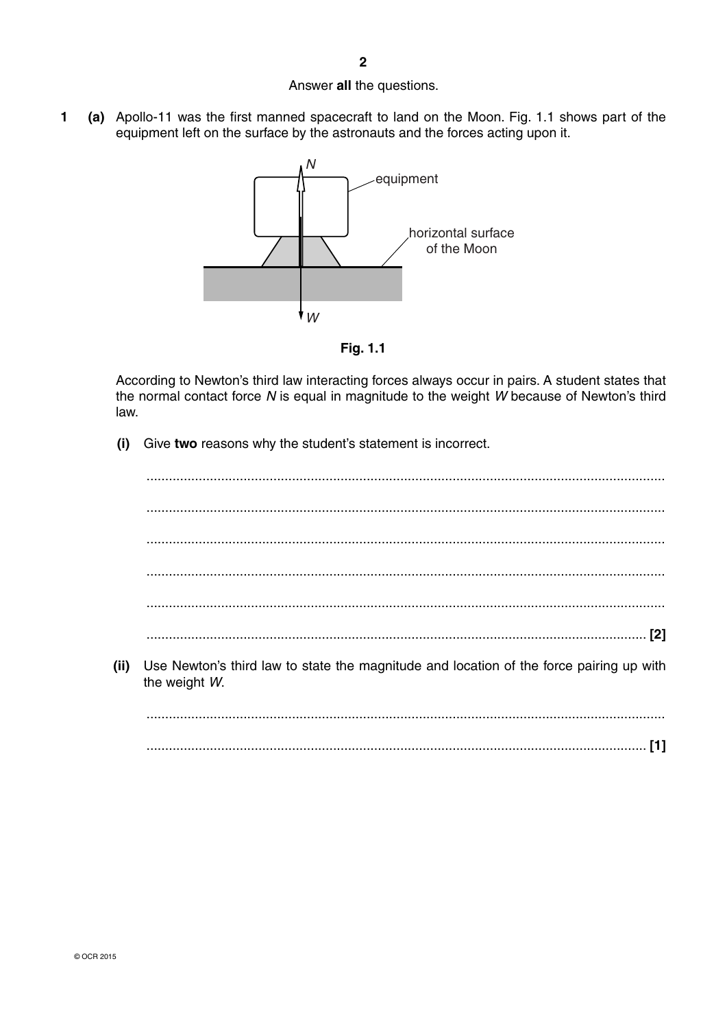### Answer **all** the questions.

**1 (a)** Apollo-11 was the first manned spacecraft to land on the Moon. Fig. 1.1 shows part of the equipment left on the surface by the astronauts and the forces acting upon it.



**Fig. 1.1**

According to Newton's third law interacting forces always occur in pairs. A student states that the normal contact force *N* is equal in magnitude to the weight *W* because of Newton's third law.

 **(i)** Give **two** reasons why the student's statement is incorrect.

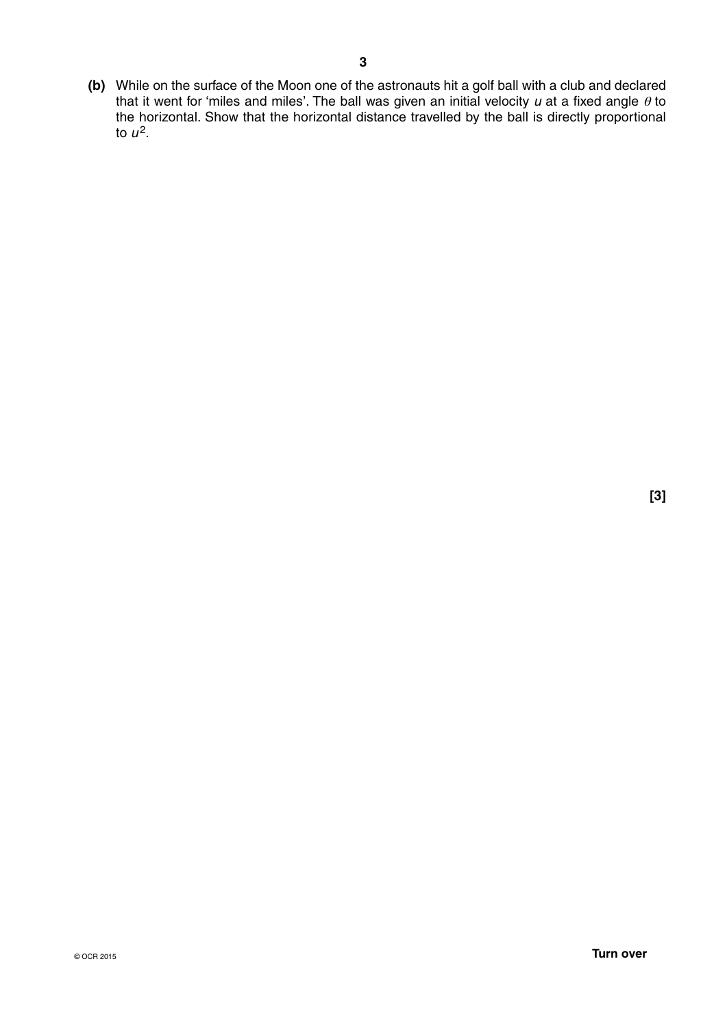**(b)** While on the surface of the Moon one of the astronauts hit a golf ball with a club and declared that it went for 'miles and miles'. The ball was given an initial velocity *u* at a fixed angle θ to the horizontal. Show that the horizontal distance travelled by the ball is directly proportional to  $u^2$ .

**[3]**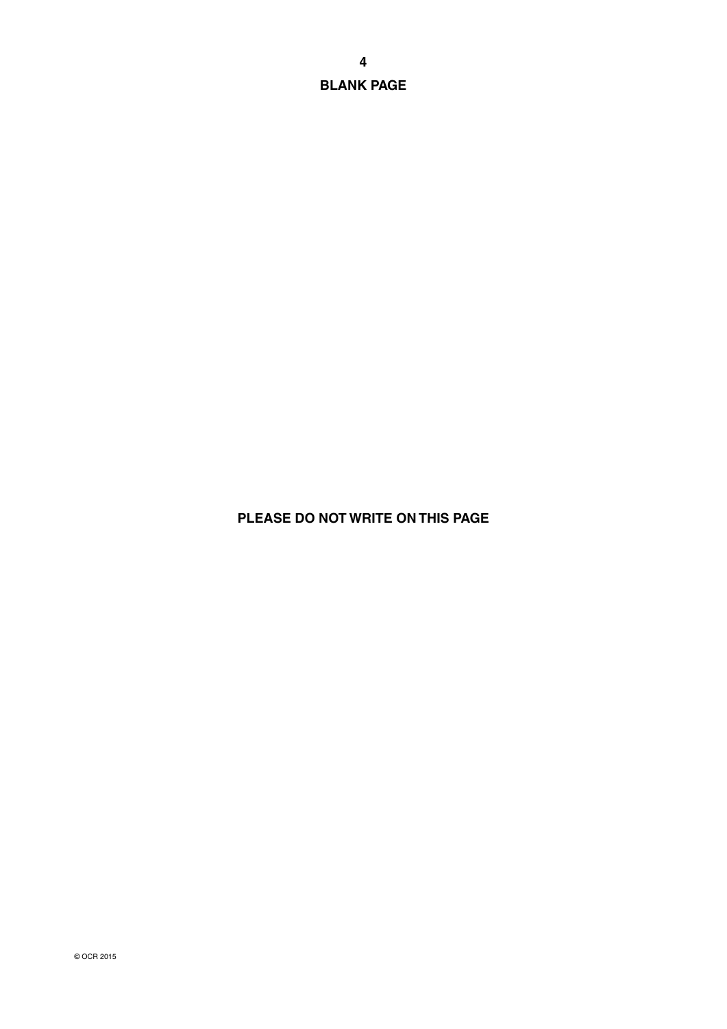**BLANK PAGE**

## **PLEASE DO NOT WRITE ON THIS PAGE**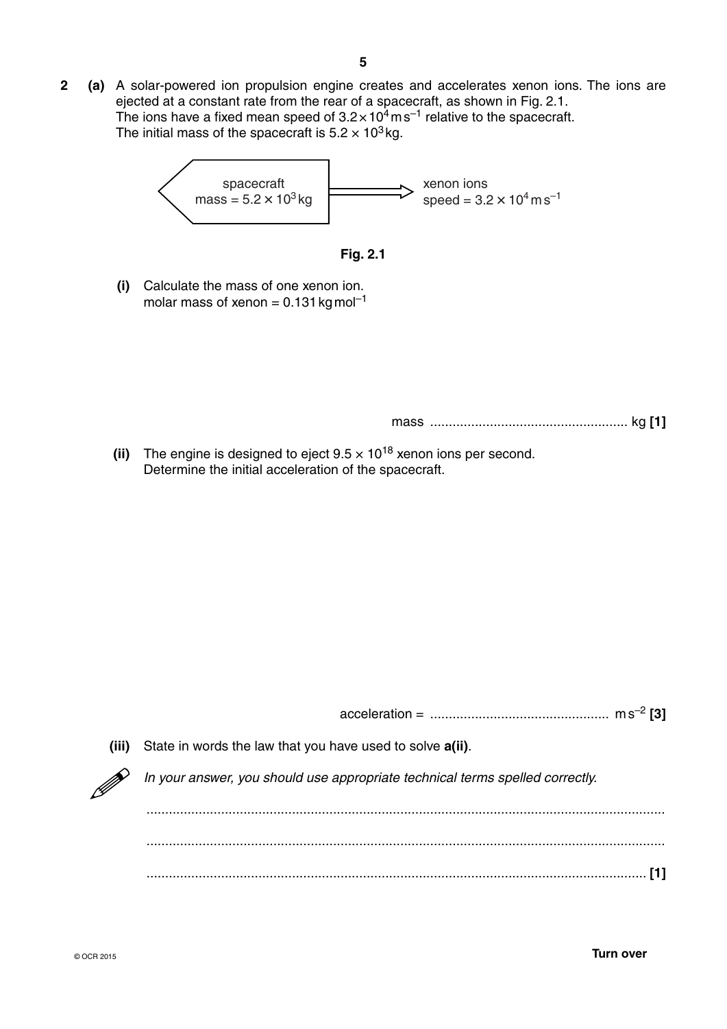**2 (a)** A solar-powered ion propulsion engine creates and accelerates xenon ions. The ions are ejected at a constant rate from the rear of a spacecraft, as shown in Fig. 2.1. The ions have a fixed mean speed of  $3.2 \times 10^4$  m s<sup>-1</sup> relative to the spacecraft. The initial mass of the spacecraft is  $5.2 \times 10^3$  kg.





 **(i)** Calculate the mass of one xenon ion. molar mass of xenon =  $0.131$  kg mol<sup>-1</sup>

mass ..................................................... kg **[1]**

**(ii)** The engine is designed to eject  $9.5 \times 10^{18}$  xenon ions per second. Determine the initial acceleration of the spacecraft.

| (iii) | State in words the law that you have used to solve <b>a</b> (ii).             |
|-------|-------------------------------------------------------------------------------|
|       | In your answer, you should use appropriate technical terms spelled correctly. |
|       |                                                                               |
|       |                                                                               |
|       |                                                                               |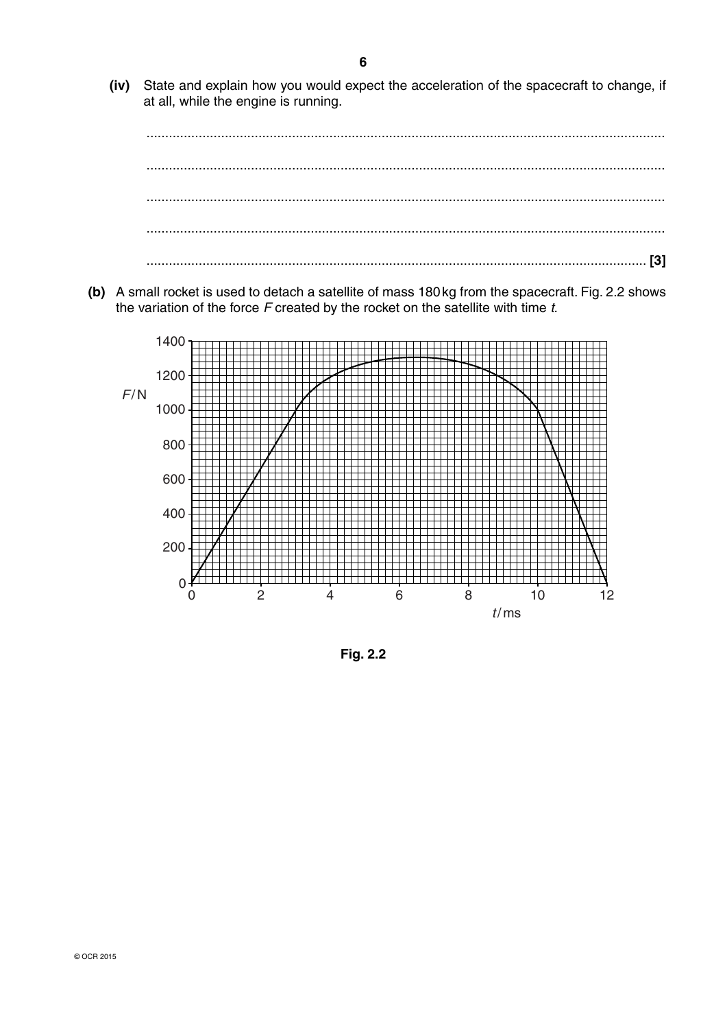(iv) State and explain how you would expect the acceleration of the spacecraft to change, if at all, while the engine is running.



(b) A small rocket is used to detach a satellite of mass 180 kg from the spacecraft. Fig. 2.2 shows the variation of the force  $F$  created by the rocket on the satellite with time  $t$ .



Fig. 2.2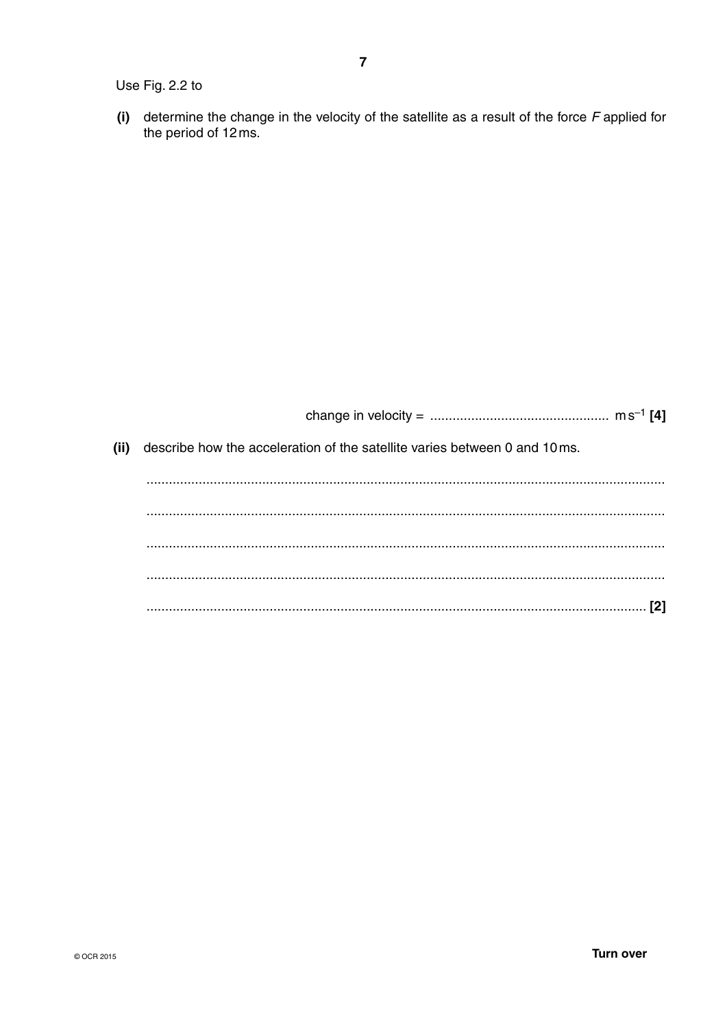Use Fig. 2.2 to

(i) determine the change in the velocity of the satellite as a result of the force  $F$  applied for the period of 12 ms.

| (ii)<br>describe how the acceleration of the satellite varies between 0 and 10 ms. |
|------------------------------------------------------------------------------------|
|                                                                                    |
|                                                                                    |
|                                                                                    |
|                                                                                    |
|                                                                                    |
|                                                                                    |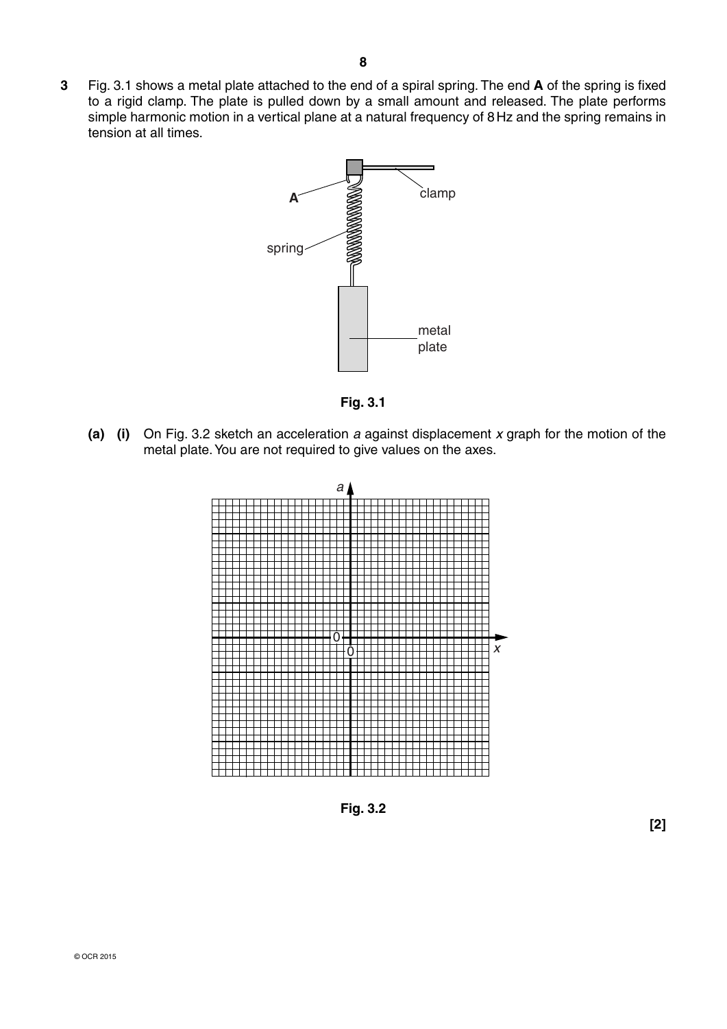**3** Fig. 3.1 shows a metal plate attached to the end of a spiral spring. The end **A** of the spring is fixed to a rigid clamp. The plate is pulled down by a small amount and released. The plate performs simple harmonic motion in a vertical plane at a natural frequency of 8 Hz and the spring remains in tension at all times.



**Fig. 3.1**

 **(a) (i)** On Fig. 3.2 sketch an acceleration *a* against displacement *x* graph for the motion of the metal plate. You are not required to give values on the axes.



**Fig. 3.2**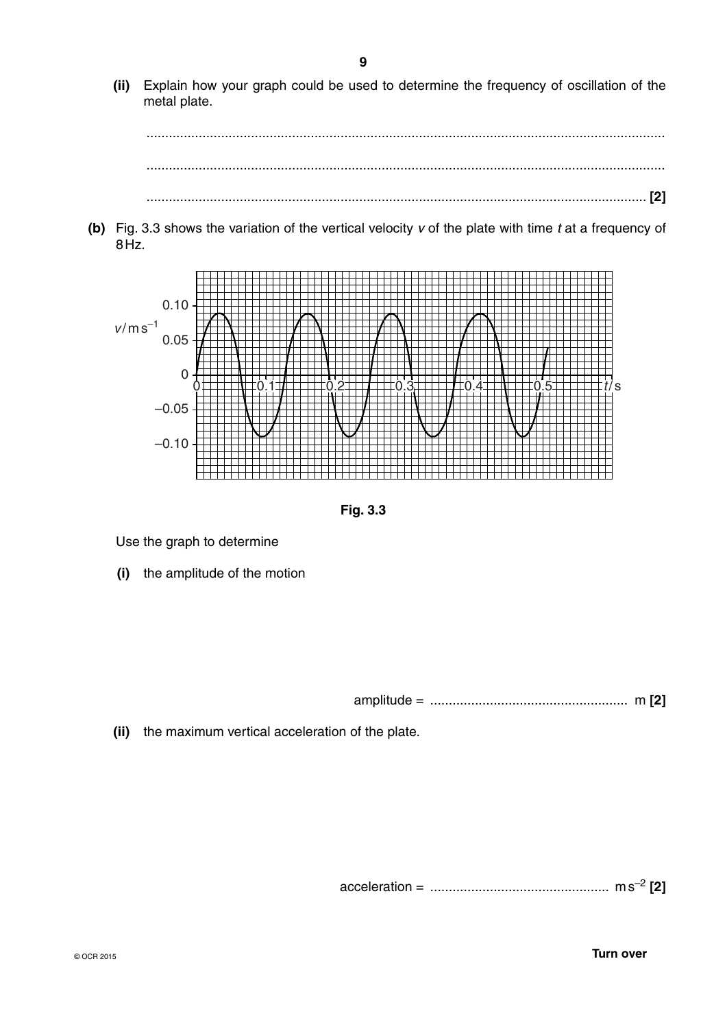**(ii)** Explain how your graph could be used to determine the frequency of oscillation of the metal plate.

 ........................................................................................................................................... ........................................................................................................................................... ...................................................................................................................................... **[2]**

 **(b)** Fig. 3.3 shows the variation of the vertical velocity *v* of the plate with time *t* at a frequency of 8 Hz.



**Fig. 3.3**

Use the graph to determine

 **(i)** the amplitude of the motion

amplitude = ..................................................... m **[2]**

 **(ii)** the maximum vertical acceleration of the plate.

acceleration = ................................................ m s–2 **[2]**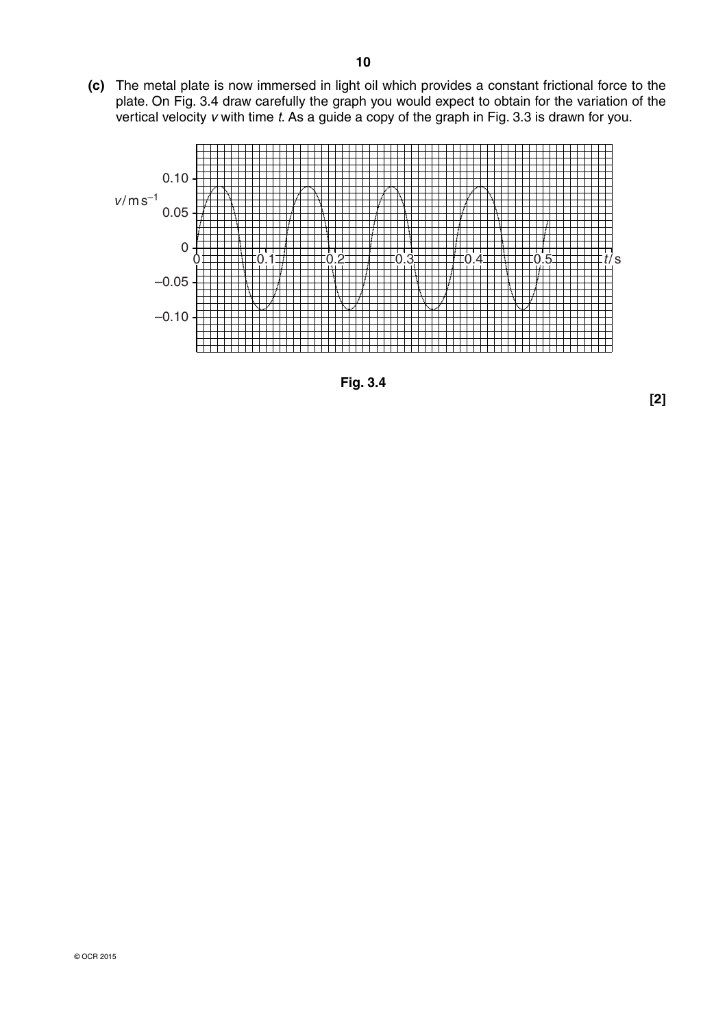**(c)** The metal plate is now immersed in light oil which provides a constant frictional force to the plate. On Fig. 3.4 draw carefully the graph you would expect to obtain for the variation of the vertical velocity *v* with time *t*. As a guide a copy of the graph in Fig. 3.3 is drawn for you.



**Fig. 3.4**

**[2]**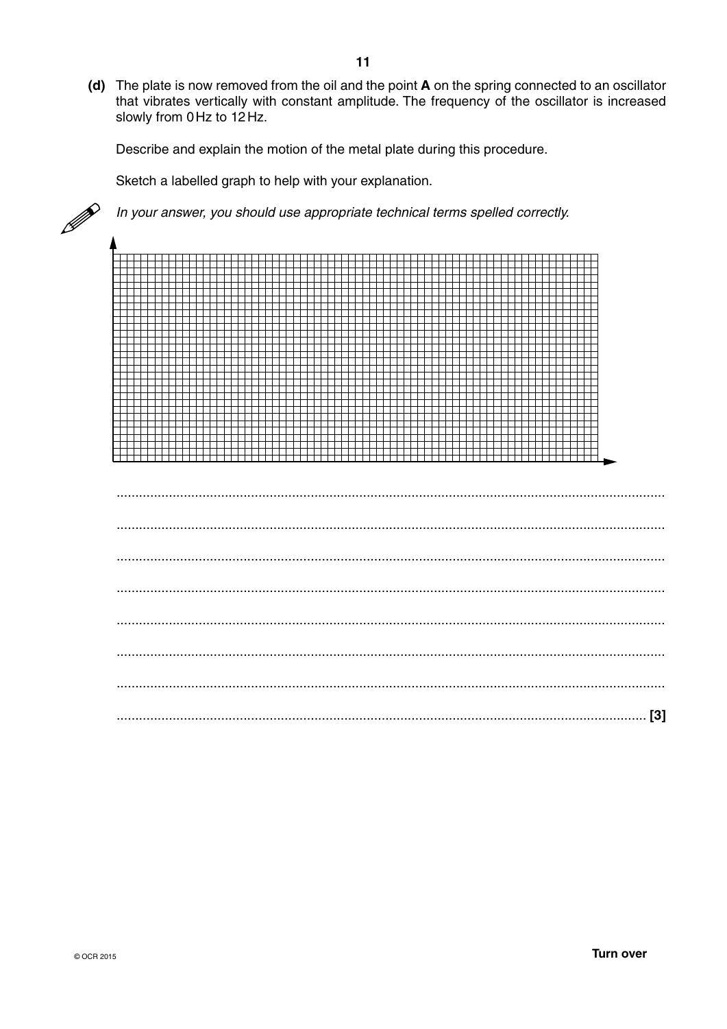(d) The plate is now removed from the oil and the point A on the spring connected to an oscillator that vibrates vertically with constant amplitude. The frequency of the oscillator is increased slowly from 0Hz to 12Hz.

Describe and explain the motion of the metal plate during this procedure.

Sketch a labelled graph to help with your explanation.

In your answer, you should use appropriate technical terms spelled correctly.

<del>╷╷╷╷╷╷╷╷╷╷╷╷╷╷╷╷╷╷╷╷╷╷</del> <del>╷╎╎╎╎╎╎╎╎╎╏╎╎╎╎╎╎╎╎╎╎╏╎╎╎╎╎╎╎╎╎╎╎╎╎</del>┼┼┼  $\overline{\phantom{a}}$ 777777 Ŧ F - 111111 THE H Ŧ Ŧ ┪┪┪┪┪┪╅ ┢╪╅╅╈ \_\_\_\_\_\_\_\_ ┯ ┭ <del>▃▌▃▌▃▌▄▋▄▋▄▋▄▋▄▋▄▋▄▋▄▋▄▋▄▋▄▋▄▊▄</del> 

P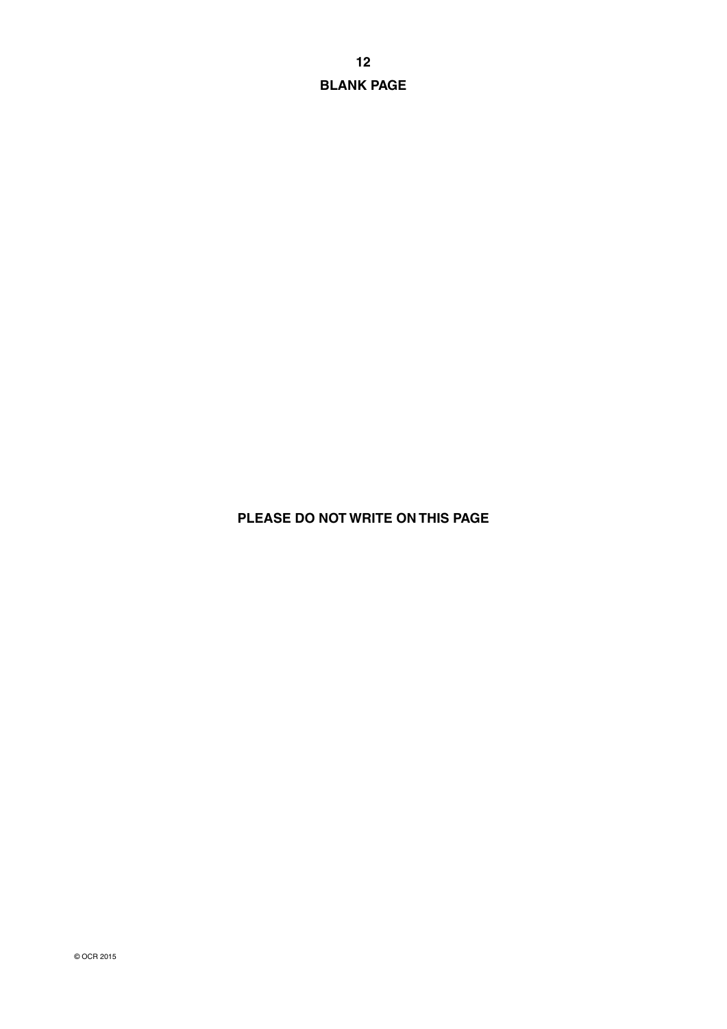**12 BLANK PAGE**

### **PLEASE DO NOT WRITE ON THIS PAGE**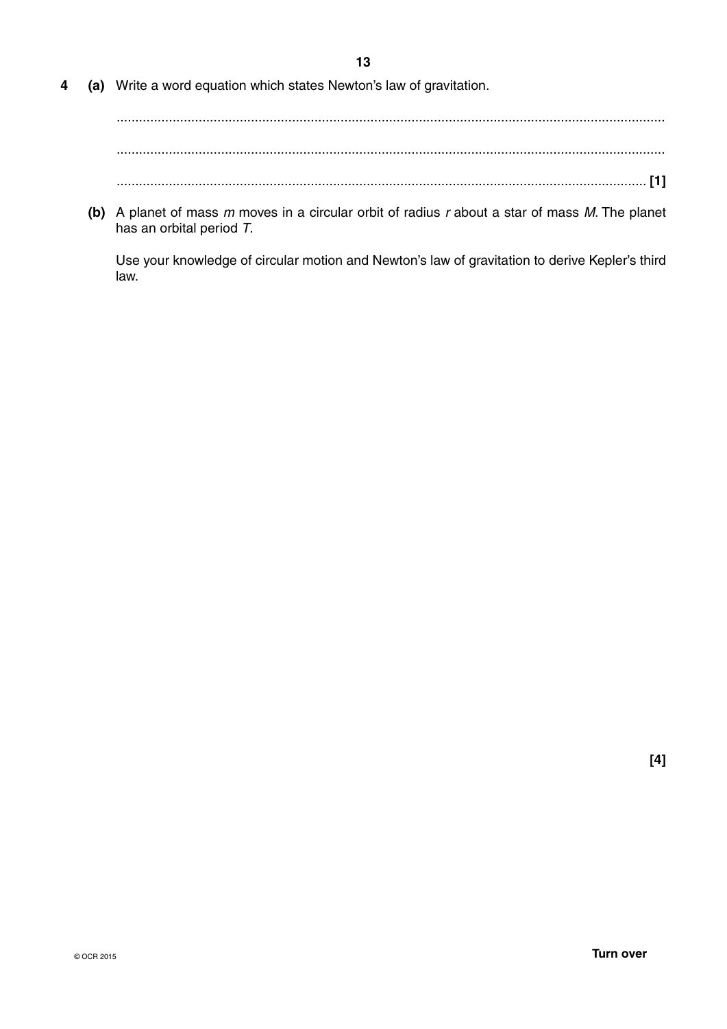**13**

**4 (a)** Write a word equation which states Newton's law of gravitation.

 ................................................................................................................................................... ................................................................................................................................................... .............................................................................................................................................. **[1]**

 **(b)** A planet of mass *m* moves in a circular orbit of radius *r* about a star of mass *M*. The planet has an orbital period *T*.

Use your knowledge of circular motion and Newton's law of gravitation to derive Kepler's third law.

**[4]**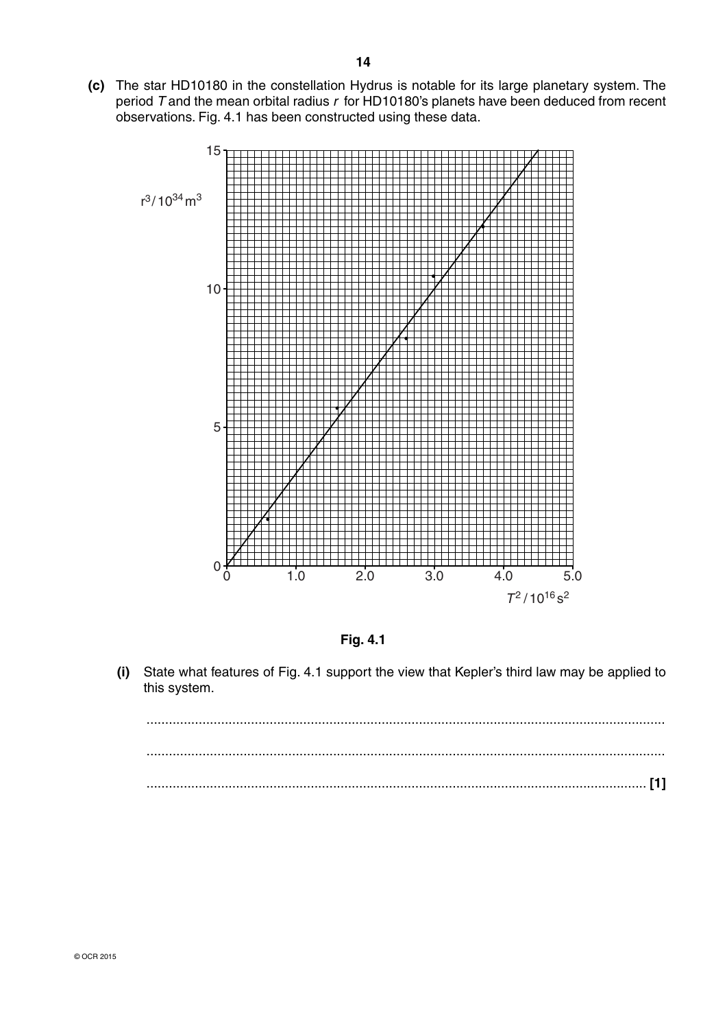**(c)** The star HD10180 in the constellation Hydrus is notable for its large planetary system. The period *T* and the mean orbital radius *r* for HD10180's planets have been deduced from recent observations. Fig. 4.1 has been constructed using these data.





 **(i)** State what features of Fig. 4.1 support the view that Kepler's third law may be applied to this system.

 ........................................................................................................................................... ........................................................................................................................................... ...................................................................................................................................... **[1]**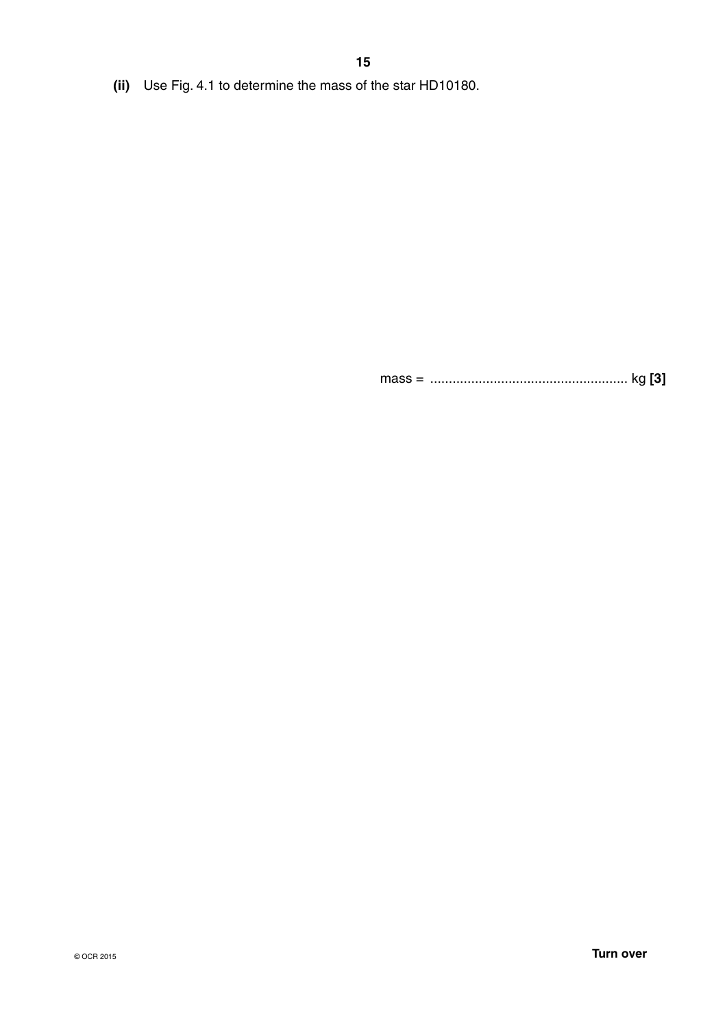**(ii)** Use Fig. 4.1 to determine the mass of the star HD10180.

mass = ..................................................... kg **[3]**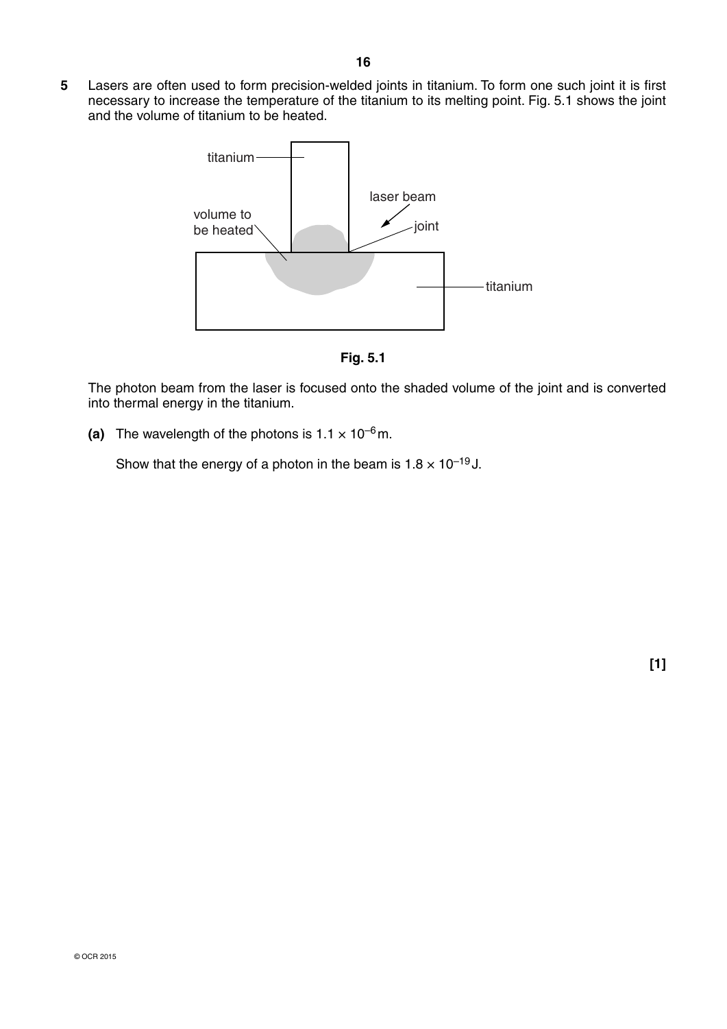**5** Lasers are often used to form precision-welded joints in titanium. To form one such joint it is first necessary to increase the temperature of the titanium to its melting point. Fig. 5.1 shows the joint and the volume of titanium to be heated.



**Fig. 5.1**

The photon beam from the laser is focused onto the shaded volume of the joint and is converted into thermal energy in the titanium.

(a) The wavelength of the photons is  $1.1 \times 10^{-6}$  m.

Show that the energy of a photon in the beam is  $1.8 \times 10^{-19}$  J.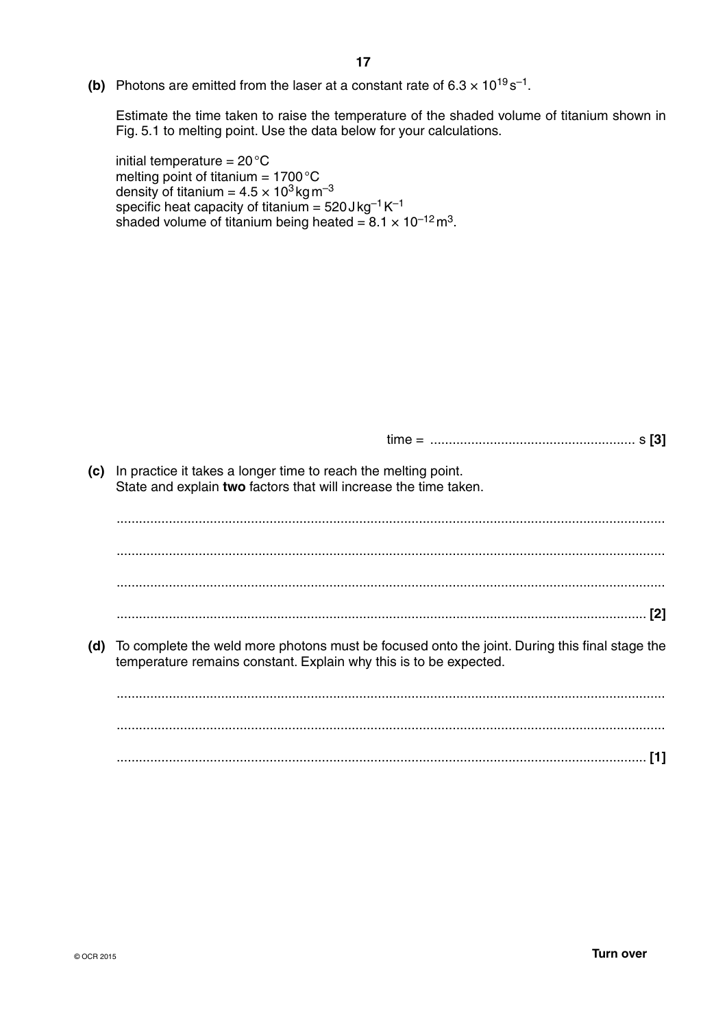**(b)** Photons are emitted from the laser at a constant rate of  $6.3 \times 10^{19}$  s<sup>-1</sup>.

Estimate the time taken to raise the temperature of the shaded volume of titanium shown in Fig. 5.1 to melting point. Use the data below for your calculations.

initial temperature  $= 20^{\circ}C$ melting point of titanium  $= 1700 \degree C$ density of titanium =  $4.5 \times 10^3$  kg m<sup>-3</sup> specific heat capacity of titanium =  $520$  J kg<sup>-1</sup> K<sup>-1</sup> shaded volume of titanium being heated =  $8.1 \times 10^{-12}$  m<sup>3</sup>.

| In practice it takes a longer time to reach the melting point.<br>State and explain two factors that will increase the time taken.                                 |
|--------------------------------------------------------------------------------------------------------------------------------------------------------------------|
|                                                                                                                                                                    |
|                                                                                                                                                                    |
|                                                                                                                                                                    |
|                                                                                                                                                                    |
| To complete the weld more photons must be focused onto the joint. During this final stage the<br>temperature remains constant. Explain why this is to be expected. |
|                                                                                                                                                                    |
|                                                                                                                                                                    |
| [1]                                                                                                                                                                |
|                                                                                                                                                                    |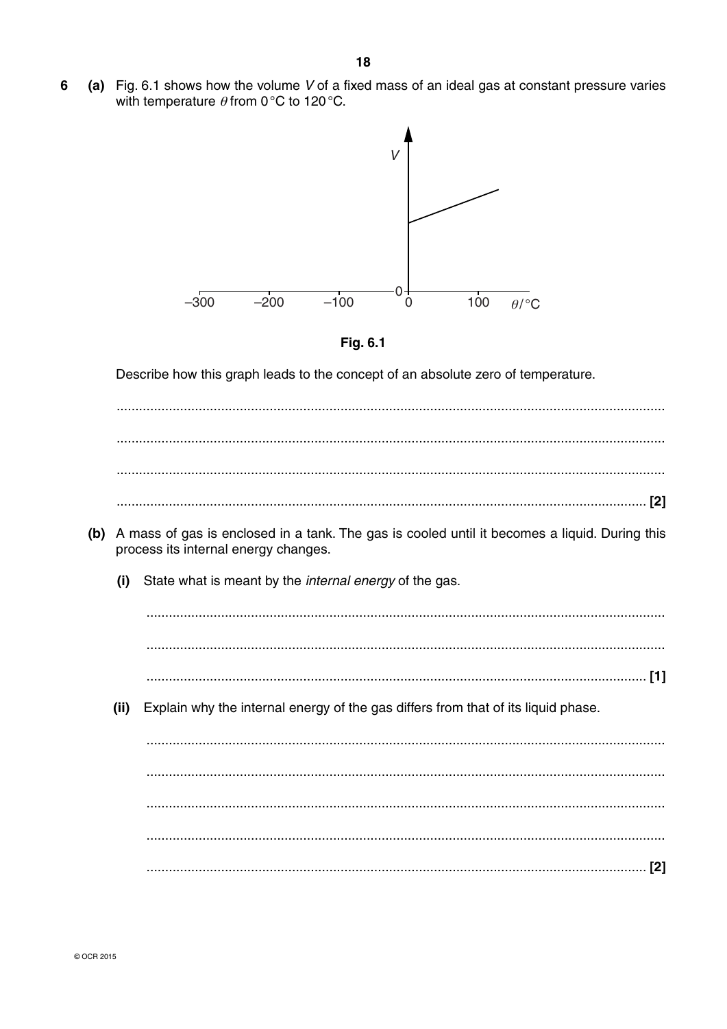6 (a) Fig. 6.1 shows how the volume V of a fixed mass of an ideal gas at constant pressure varies with temperature  $\theta$  from 0°C to 120°C.





Describe how this graph leads to the concept of an absolute zero of temperature.

- (b) A mass of gas is enclosed in a tank. The gas is cooled until it becomes a liquid. During this process its internal energy changes.
	- State what is meant by the *internal energy* of the gas.  $(i)$

 $(ii)$ Explain why the internal energy of the gas differs from that of its liquid phase.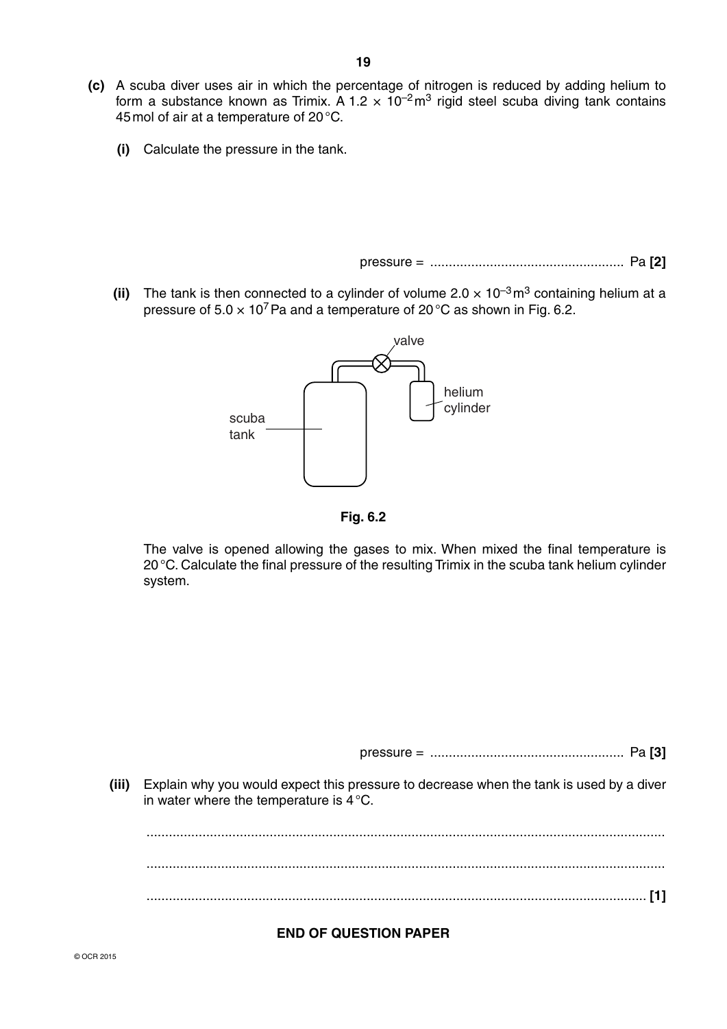- **(c)** A scuba diver uses air in which the percentage of nitrogen is reduced by adding helium to form a substance known as Trimix. A 1.2  $\times$  10<sup>-2</sup> m<sup>3</sup> rigid steel scuba diving tank contains 45 mol of air at a temperature of 20 °C.
	- **(i)** Calculate the pressure in the tank.

pressure = .................................................... Pa **[2]**

**(ii)** The tank is then connected to a cylinder of volume  $2.0 \times 10^{-3}$  m<sup>3</sup> containing helium at a pressure of  $5.0 \times 10^7$  Pa and a temperature of 20 °C as shown in Fig. 6.2.



**Fig. 6.2**

The valve is opened allowing the gases to mix. When mixed the final temperature is 20 °C. Calculate the final pressure of the resulting Trimix in the scuba tank helium cylinder system.

pressure = .................................................... Pa **[3]**

 **(iii)** Explain why you would expect this pressure to decrease when the tank is used by a diver in water where the temperature is 4 °C.

 ........................................................................................................................................... ........................................................................................................................................... ...................................................................................................................................... **[1]**

### **END OF QUESTION PAPER**